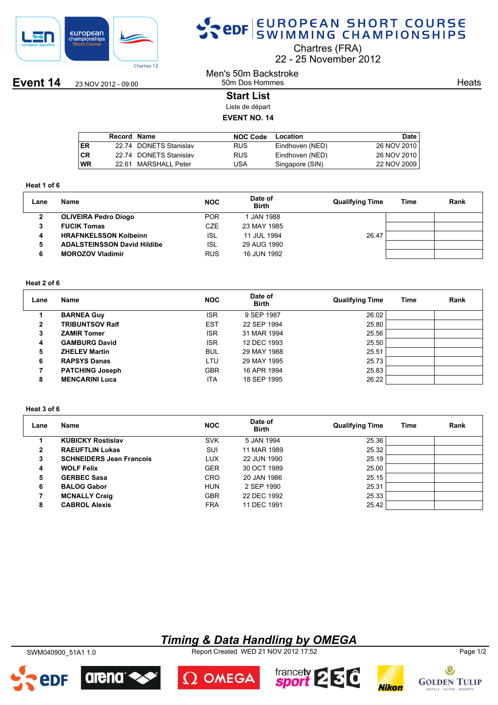

# SPOR EUROPEAN SHORT COURSE

Chartres (FRA)

22 25 November 2012

**Event 14** 23 NOV 2012 - 09:00

## Men's 50m Backstroke 50m Dos Hommes

**Heats** 

## **Start List**

Liste de départ

## **EVENT NO. 14**

|           | Record Name |                        | <b>NOC Code</b> | Location        | Date        |
|-----------|-------------|------------------------|-----------------|-----------------|-------------|
| ER        |             | 22.74 DONETS Stanislav | <b>RUS</b>      | Eindhoven (NED) | 26 NOV 2010 |
| <b>CR</b> |             | 22.74 DONETS Stanislav | <b>RUS</b>      | Eindhoven (NED) | 26 NOV 2010 |
| WR        | 22 G1.      | MARSHALL Peter         | USA             | Singapore (SIN) | 22 NOV 2009 |
|           |             |                        |                 |                 |             |

#### **Heat 1 of 6**

| Lane | Name                               | <b>NOC</b> | Date of<br><b>Birth</b> | <b>Qualifying Time</b> | Time | Rank |
|------|------------------------------------|------------|-------------------------|------------------------|------|------|
| 2    | <b>OLIVEIRA Pedro Diogo</b>        | <b>POR</b> | I JAN 1988              |                        |      |      |
|      | <b>FUCIK Tomas</b>                 | CZE        | 23 MAY 1985             |                        |      |      |
| 4    | <b>HRAFNKELSSON Kolbeinn</b>       | <b>ISL</b> | 11 JUL 1994             | 26.47                  |      |      |
| 5    | <b>ADALSTEINSSON David Hildibe</b> | <b>ISL</b> | 29 AUG 1990             |                        |      |      |
|      | <b>MOROZOV Vladimir</b>            | <b>RUS</b> | 16 JUN 1992             |                        |      |      |

### **Heat 2 of 6**

| Lane         | Name                   | <b>NOC</b> | Date of<br><b>Birth</b> | <b>Qualifying Time</b> | Time | Rank |
|--------------|------------------------|------------|-------------------------|------------------------|------|------|
|              | <b>BARNEA Guy</b>      | <b>ISR</b> | 9 SEP 1987              | 26.02                  |      |      |
| $\mathbf{2}$ | <b>TRIBUNTSOV Ralf</b> | <b>EST</b> | 22 SEP 1994             | 25.80                  |      |      |
| 3            | <b>ZAMIR Tomer</b>     | <b>ISR</b> | 31 MAR 1994             | 25.56                  |      |      |
| 4            | <b>GAMBURG David</b>   | <b>ISR</b> | 12 DEC 1993             | 25.50                  |      |      |
| 5            | <b>ZHELEV Martin</b>   | <b>BUL</b> | 29 MAY 1988             | 25.51                  |      |      |
| 6            | <b>RAPSYS Danas</b>    | LTU        | 29 MAY 1995             | 25.73                  |      |      |
|              | <b>PATCHING Joseph</b> | <b>GBR</b> | 16 APR 1994             | 25.83                  |      |      |
| 8            | <b>MENCARINI Luca</b>  | ITA        | 18 SEP 1995             | 26.22                  |      |      |

#### **Heat 3 of 6**

| Lane         | Name                            | <b>NOC</b> | Date of<br><b>Birth</b> | <b>Qualifying Time</b> | Time | Rank |
|--------------|---------------------------------|------------|-------------------------|------------------------|------|------|
|              | <b>KUBICKY Rostislav</b>        | <b>SVK</b> | 5 JAN 1994              | 25.36                  |      |      |
| $\mathbf{2}$ | <b>RAEUFTLIN Lukas</b>          | <b>SUI</b> | 11 MAR 1989             | 25.32                  |      |      |
| 3            | <b>SCHNEIDERS Jean Francois</b> | <b>LUX</b> | 22 JUN 1990             | 25.19                  |      |      |
| 4            | <b>WOLF Felix</b>               | <b>GER</b> | 30 OCT 1989             | 25.00                  |      |      |
| 5            | <b>GERBEC Sasa</b>              | <b>CRO</b> | 20 JAN 1986             | 25.15                  |      |      |
| 6            | <b>BALOG Gabor</b>              | <b>HUN</b> | 2 SEP 1990              | 25.31                  |      |      |
|              | <b>MCNALLY Craig</b>            | <b>GBR</b> | 22 DEC 1992             | 25.33                  |      |      |
| 8            | <b>CABROL Alexis</b>            | <b>FRA</b> | 11 DEC 1991             | 25.42                  |      |      |

## *Timing & Data Handling by OMEGA*

SWM040900\_51A1 1.0 Report Created WED 21 NOV 2012 17:52 Page 1/2



arena

2DF